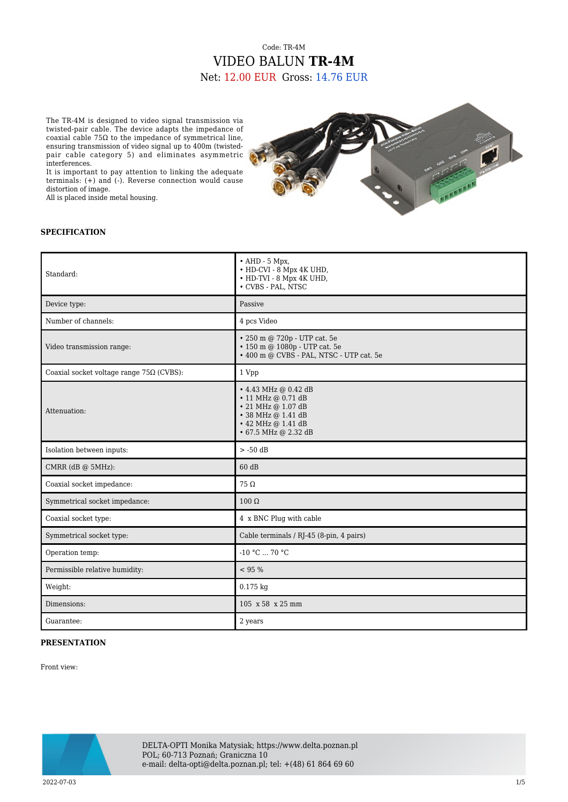## Code: TR-4M VIDEO BALUN **TR-4M** Net: 12.00 EUR Gross: 14.76 EUR

The TR-4M is designed to video signal transmission via twisted-pair cable. The device adapts the impedance of coaxial cable 75Ω to the impedance of symmetrical line, ensuring transmission of video signal up to 400m (twistedpair cable category 5) and eliminates asymmetric interferences.

It is important to pay attention to linking the adequate terminals: (+) and (-). Reverse connection would cause distortion of image.

All is placed inside metal housing.



## **SPECIFICATION**

| Standard:                                       | $\bullet$ AHD - 5 Mpx,<br>• HD-CVI - 8 Mpx 4K UHD,<br>• HD-TVI - 8 Mpx 4K UHD,<br>• CVBS - PAL, NTSC                                                   |
|-------------------------------------------------|--------------------------------------------------------------------------------------------------------------------------------------------------------|
| Device type:                                    | Passive                                                                                                                                                |
| Number of channels:                             | 4 pcs Video                                                                                                                                            |
| Video transmission range:                       | • 250 m @ 720p - UTP cat. 5e<br>• 150 m @ 1080p - UTP cat. 5e<br>• 400 m @ CVBS - PAL, NTSC - UTP cat. 5e                                              |
| Coaxial socket voltage range $75\Omega$ (CVBS): | 1 Vpp                                                                                                                                                  |
| Attenuation:                                    | • 4.43 MHz @ 0.42 dB<br>$\cdot$ 11 MHz @ 0.71 dB<br>$\cdot$ 21 MHz @ 1.07 dB<br>• 38 MHz @ 1.41 dB<br>$\cdot$ 42 MHz @ 1.41 dB<br>• 67.5 MHz @ 2.32 dB |
| Isolation between inputs:                       | $>$ -50 dB                                                                                                                                             |
| CMRR (dB @ 5MHz):                               | 60 dB                                                                                                                                                  |
| Coaxial socket impedance:                       | $75\Omega$                                                                                                                                             |
| Symmetrical socket impedance:                   | $100 \Omega$                                                                                                                                           |
| Coaxial socket type:                            | 4 x BNC Plug with cable                                                                                                                                |
| Symmetrical socket type:                        | Cable terminals / RJ-45 (8-pin, 4 pairs)                                                                                                               |
| Operation temp:                                 | $-10 °C  70 °C$                                                                                                                                        |
| Permissible relative humidity:                  | < 95 %                                                                                                                                                 |
| Weight:                                         | $0.175$ kg                                                                                                                                             |
| Dimensions:                                     | 105 x 58 x 25 mm                                                                                                                                       |
| Guarantee:                                      | 2 years                                                                                                                                                |

## **PRESENTATION**

Front view:



DELTA-OPTI Monika Matysiak; https://www.delta.poznan.pl POL; 60-713 Poznań; Graniczna 10 e-mail: delta-opti@delta.poznan.pl; tel: +(48) 61 864 69 60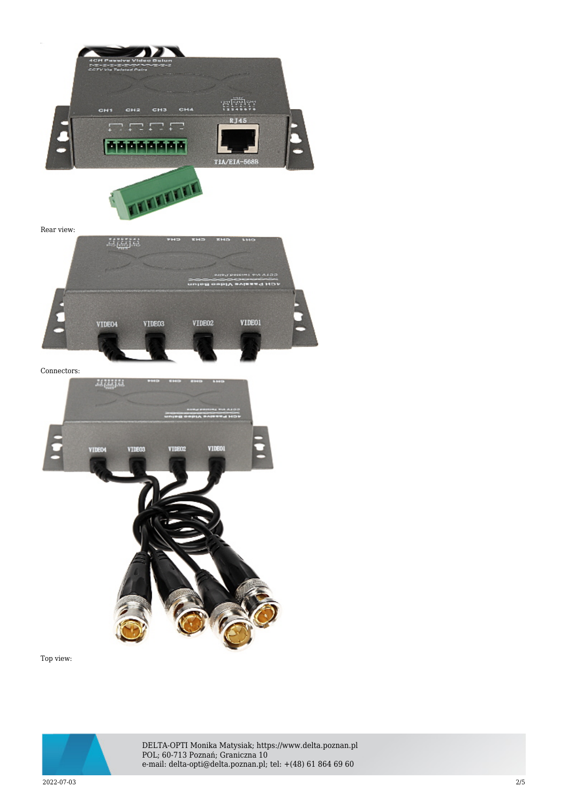

Top view:



DELTA-OPTI Monika Matysiak; https://www.delta.poznan.pl POL; 60-713 Poznań; Graniczna 10 e-mail: delta-opti@delta.poznan.pl; tel: +(48) 61 864 69 60

2022-07-03 2/5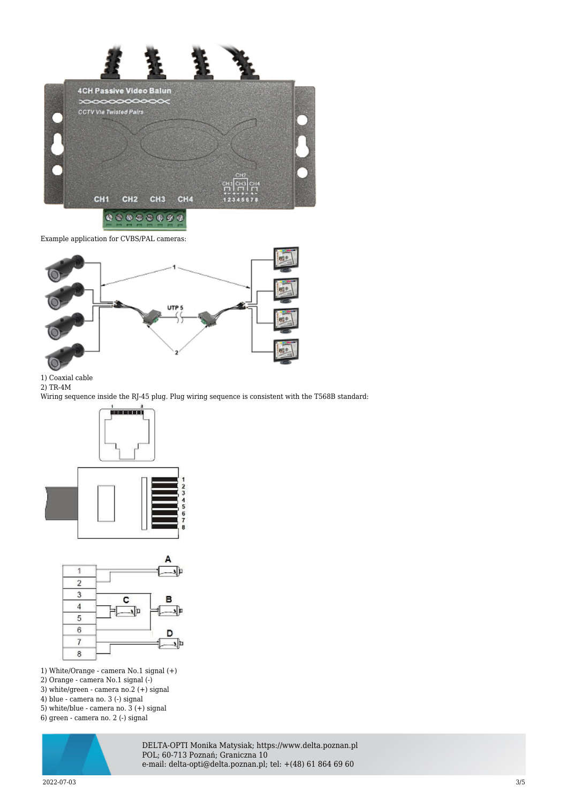

 $0.00000000$ 

Example application for CVBS/PAL cameras:



1) Coaxial cable

2) TR-4M

Wiring sequence inside the RJ-45 plug. Plug wiring sequence is consistent with the T568B standard:





- 1) White/Orange camera No.1 signal (+)
- 2) Orange camera No.1 signal (-)
- 3) white/green camera no.2 (+) signal
- 4) blue camera no. 3 (-) signal
- 5) white/blue camera no. 3 (+) signal
- 6) green camera no. 2 (-) signal



DELTA-OPTI Monika Matysiak; https://www.delta.poznan.pl POL; 60-713 Poznań; Graniczna 10 e-mail: delta-opti@delta.poznan.pl; tel: +(48) 61 864 69 60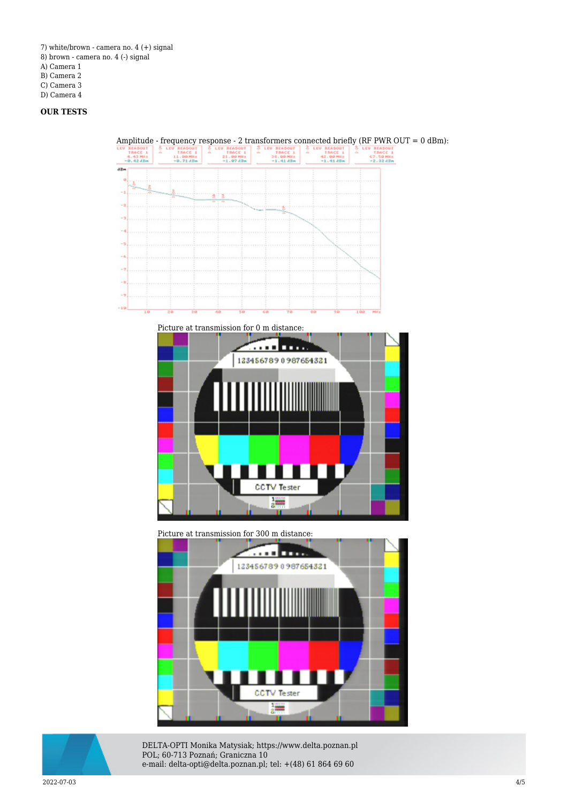- 7) white/brown camera no. 4 (+) signal
- 8) brown camera no. 4 (-) signal
- A) Camera 1
- B) Camera 2

C) Camera 3

D) Camera 4

## **OUR TESTS**



[Picture at transmission for 0 m distance:](https://sklep.delta.poznan.pl/obrazki1/tr-4m_img11_d.bmp) 



Picture at transmission for 300 m distance:





DELTA-OPTI Monika Matysiak; https://www.delta.poznan.pl POL; 60-713 Poznań; Graniczna 10 e-mail: delta-opti@delta.poznan.pl; tel: +(48) 61 864 69 60

2022-07-03 4/5